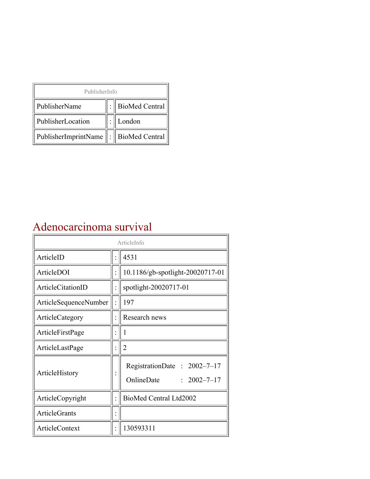| PublisherInfo                                   |  |                    |  |  |
|-------------------------------------------------|--|--------------------|--|--|
| PublisherName                                   |  | :   BioMed Central |  |  |
| PublisherLocation                               |  | London             |  |  |
| PublisherImprintName $\ \cdot\ $ BioMed Central |  |                    |  |  |

## Adenocarcinoma survival

| ArticleInfo           |  |                                                                  |  |
|-----------------------|--|------------------------------------------------------------------|--|
| ArticleID             |  | 4531                                                             |  |
| ArticleDOI            |  | 10.1186/gb-spotlight-20020717-01                                 |  |
| ArticleCitationID     |  | spotlight-20020717-01                                            |  |
| ArticleSequenceNumber |  | 197                                                              |  |
| ArticleCategory       |  | Research news                                                    |  |
| ArticleFirstPage      |  | 1                                                                |  |
| ArticleLastPage       |  | $\overline{2}$                                                   |  |
| ArticleHistory        |  | RegistrationDate: $2002-7-17$<br>OnlineDate<br>$: 2002 - 7 - 17$ |  |
| ArticleCopyright      |  | BioMed Central Ltd2002                                           |  |
| <b>ArticleGrants</b>  |  |                                                                  |  |
| <b>ArticleContext</b> |  | 130593311                                                        |  |